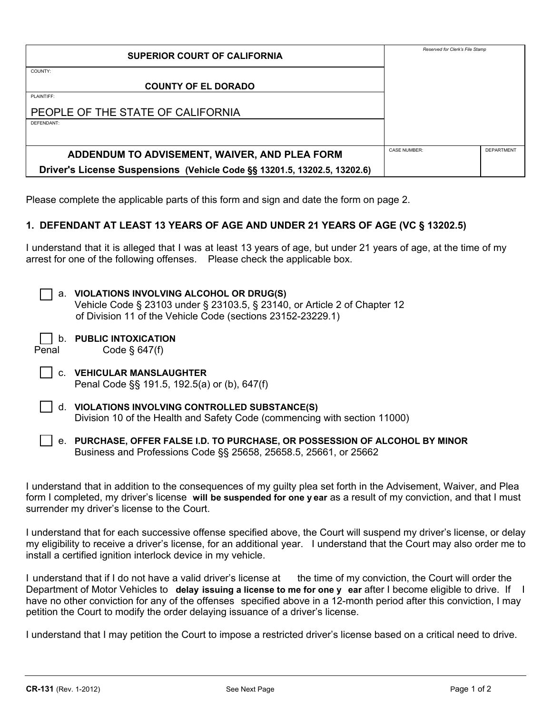| <b>SUPERIOR COURT OF CALIFORNIA</b>                                      | Reserved for Clerk's File Stamp |                   |
|--------------------------------------------------------------------------|---------------------------------|-------------------|
| COUNTY:                                                                  |                                 |                   |
| <b>COUNTY OF EL DORADO</b>                                               |                                 |                   |
| PLAINTIFF:                                                               |                                 |                   |
| PEOPLE OF THE STATE OF CALIFORNIA                                        |                                 |                   |
| DEFENDANT:                                                               |                                 |                   |
|                                                                          |                                 |                   |
| ADDENDUM TO ADVISEMENT, WAIVER, AND PLEA FORM                            | <b>CASE NUMBER:</b>             | <b>DEPARTMENT</b> |
| Driver's License Suspensions (Vehicle Code §§ 13201.5, 13202.5, 13202.6) |                                 |                   |

Please complete the applicable parts of this form and sign and date the form on page 2.

## **1. DEFENDANT AT LEAST 13 YEARS OF AGE AND UNDER 21 YEARS OF AGE (VC § 13202.5)**

I understand that it is alleged that I was at least 13 years of age, but under 21 years of age, at the time of my arrest for one of the following offenses. Please check the applicable box.

| а.    | VIOLATIONS INVOLVING ALCOHOL OR DRUG(S)<br>Vehicle Code § 23103 under § 23103.5, § 23140, or Article 2 of Chapter 12<br>of Division 11 of the Vehicle Code (sections 23152-23229.1) |
|-------|-------------------------------------------------------------------------------------------------------------------------------------------------------------------------------------|
| Penal | <b>PUBLIC INTOXICATION</b><br>Code $§$ 647(f)                                                                                                                                       |
|       | <b>VEHICULAR MANSLAUGHTER</b><br>Penal Code §§ 191.5, 192.5(a) or (b), 647(f)                                                                                                       |
| d.    | <b>VIOLATIONS INVOLVING CONTROLLED SUBSTANCE(S)</b><br>Division 10 of the Health and Safety Code (commencing with section 11000)                                                    |
|       | e. PURCHASE, OFFER FALSE I.D. TO PURCHASE, OR POSSESSION OF ALCOHOL BY MINOR                                                                                                        |

Business and Professions Code §§ 25658, 25658.5, 25661, or 25662

I understand that in addition to the consequences of my guilty plea set forth in the Advisement, Waiver, and Plea form I completed, my driver's license **will be suspended for one y ear** as a result of my conviction, and that I must surrender my driver's license to the Court.

I understand that for each successive offense specified above, the Court will suspend my driver's license, or delay my eligibility to receive a driver's license, for an additional year. I understand that the Court may also order me to install a certified ignition interlock device in my vehicle.

I understand that if I do not have a valid driver's license at the time of my conviction, the Court will order the Department of Motor Vehicles to **delay issuing a license to me for one y ear** after I become eligible to drive. If I have no other conviction for any of the offenses specified above in a 12-month period after this conviction, I may petition the Court to modify the order delaying issuance of a driver's license.

I understand that I may petition the Court to impose a restricted driver's license based on a critical need to drive.